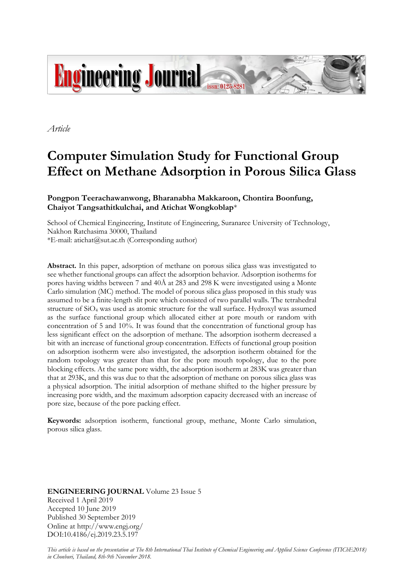

*Article*

# **Computer Simulation Study for Functional Group Effect on Methane Adsorption in Porous Silica Glass**

## **Pongpon Teerachawanwong, Bharanabha Makkaroon, Chontira Boonfung, Chaiyot Tangsathitkulchai, and Atichat Wongkoblap**\*

School of Chemical Engineering, Institute of Engineering, Suranaree University of Technology, Nakhon Ratchasima 30000, Thailand \*E-mail: atichat@sut.ac.th (Corresponding author)

**Abstract.** In this paper, adsorption of methane on porous silica glass was investigated to see whether functional groups can affect the adsorption behavior. Adsorption isotherms for pores having widths between 7 and 40Å at 283 and 298 K were investigated using a Monte Carlo simulation (MC) method. The model of porous silica glass proposed in this study was assumed to be a finite-length slit pore which consisted of two parallel walls. The tetrahedral structure of SiO<sup>4</sup> was used as atomic structure for the wall surface. Hydroxyl was assumed as the surface functional group which allocated either at pore mouth or random with concentration of 5 and 10%. It was found that the concentration of functional group has less significant effect on the adsorption of methane. The adsorption isotherm decreased a bit with an increase of functional group concentration. Effects of functional group position on adsorption isotherm were also investigated, the adsorption isotherm obtained for the random topology was greater than that for the pore mouth topology, due to the pore blocking effects. At the same pore width, the adsorption isotherm at 283K was greater than that at 293K, and this was due to that the adsorption of methane on porous silica glass was a physical adsorption. The initial adsorption of methane shifted to the higher pressure by increasing pore width, and the maximum adsorption capacity decreased with an increase of pore size, because of the pore packing effect.

**Keywords:** adsorption isotherm, functional group, methane, Monte Carlo simulation, porous silica glass.

**ENGINEERING JOURNAL** Volume 23 Issue 5 Received 1 April 2019 Accepted 10 June 2019 Published 30 September 2019 Online at http://www.engj.org/ DOI:10.4186/ej.2019.23.5.197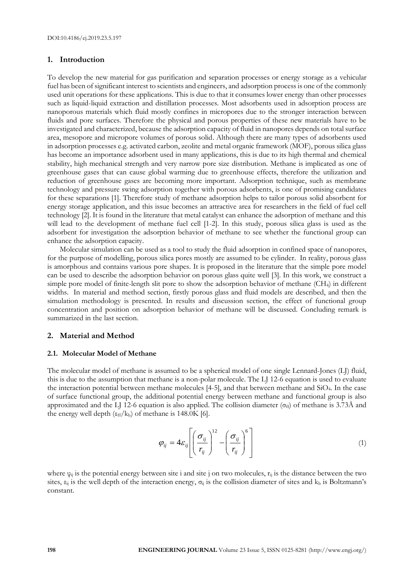## **1. Introduction**

To develop the new material for gas purification and separation processes or energy storage as a vehicular fuel has been of significant interest to scientists and engineers, and adsorption processis one of the commonly used unit operations for these applications. This is due to that it consumes lower energy than other processes such as liquid-liquid extraction and distillation processes. Most adsorbents used in adsorption process are nanoporous materials which fluid mostly confines in micropores due to the stronger interaction between fluids and pore surfaces. Therefore the physical and porous properties of these new materials have to be investigated and characterized, because the adsorption capacity of fluid in nanopores depends on total surface area, mesopore and micropore volumes of porous solid. Although there are many types of adsorbents used in adsorption processes e.g. activated carbon, zeolite and metal organic framework (MOF), porous silica glass has become an importance adsorbent used in many applications, this is due to its high thermal and chemical stability, high mechanical strength and very narrow pore size distribution. Methane is implicated as one of greenhouse gases that can cause global warming due to greenhouse effects, therefore the utilization and reduction of greenhouse gases are becoming more important. Adsorption technique, such as membrane technology and pressure swing adsorption together with porous adsorbents, is one of promising candidates for these separations [1]. Therefore study of methane adsorption helps to tailor porous solid absorbent for energy storage application, and this issue becomes an attractive area for researchers in the field of fuel cell technology [2]. It is found in the literature that metal catalyst can enhance the adsorption of methane and this will lead to the development of methane fuel cell [1-2]. In this study, porous silica glass is used as the adsorbent for investigation the adsorption behavior of methane to see whether the functional group can enhance the adsorption capacity.

Molecular simulation can be used as a tool to study the fluid adsorption in confined space of nanopores, for the purpose of modelling, porous silica pores mostly are assumed to be cylinder. In reality, porous glass is amorphous and contains various pore shapes. It is proposed in the literature that the simple pore model can be used to describe the adsorption behavior on porous glass quite well [3]. In this work, we construct a simple pore model of finite-length slit pore to show the adsorption behavior of methane (CH4) in different widths. In material and method section, firstly porous glass and fluid models are described, and then the simulation methodology is presented. In results and discussion section, the effect of functional group concentration and position on adsorption behavior of methane will be discussed. Concluding remark is summarized in the last section.

### **2. Material and Method**

### **2.1. Molecular Model of Methane**

The molecular model of methane is assumed to be a spherical model of one single Lennard-Jones (LJ) fluid, this is due to the assumption that methane is a non-polar molecule. The LJ 12-6 equation is used to evaluate the interaction potential between methane molecules [4-5], and that between methane and SiO4. In the case of surface functional group, the additional potential energy between methane and functional group is also approximated and the LJ 12-6 equation is also applied. The collision diameter ( $\sigma_{\text{ff}}$ ) of methane is 3.73Å and the energy well depth ( $\varepsilon_{ff}/k_b$ ) of methane is 148.0K [6].

$$
\varphi_{ij} = 4\varepsilon_{ij} \left[ \left( \frac{\sigma_{ij}}{r_{ij}} \right)^{12} - \left( \frac{\sigma_{ij}}{r_{ij}} \right)^{6} \right]
$$
\n(1)

where  $\varphi_{ij}$  is the potential energy between site i and site j on two molecules,  $r_{ij}$  is the distance between the two sites,  $\varepsilon_{ij}$  is the well depth of the interaction energy,  $\sigma_{ij}$  is the collision diameter of sites and  $k_b$  is Boltzmann's constant.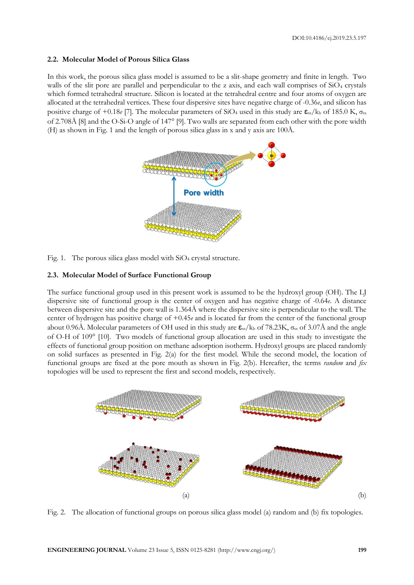## **2.2. Molecular Model of Porous Silica Glass**

In this work, the porous silica glass model is assumed to be a slit-shape geometry and finite in length. Two walls of the slit pore are parallel and perpendicular to the z axis, and each wall comprises of  $SiO<sub>4</sub>$  crystals which formed tetrahedral structure. Silicon is located at the tetrahedral centre and four atoms of oxygen are allocated at the tetrahedral vertices. These four dispersive sites have negative charge of -0.36*e*, and silicon has positive charge of  $+0.18e$  [7]. The molecular parameters of SiO<sub>4</sub> used in this study are  $\epsilon_{ss}/k_b$  of 185.0 K,  $\sigma_{ss}$ of 2.708Å [8] and the O-Si-O angle of 147° [9]. Two walls are separated from each other with the pore width (H) as shown in Fig. 1 and the length of porous silica glass in x and y axis are 100Å.



Fig. 1. The porous silica glass model with  $SiO<sub>4</sub>$  crystal structure.

#### **2.3. Molecular Model of Surface Functional Group**

The surface functional group used in this present work is assumed to be the hydroxyl group (OH). The LJ dispersive site of functional group is the center of oxygen and has negative charge of -0.64*e*. A distance between dispersive site and the pore wall is 1.364Å where the dispersive site is perpendicular to the wall. The center of hydrogen has positive charge of +0.45*e* and is located far from the center of the functional group about 0.96Å. Molecular parameters of OH used in this study are  $\epsilon_{ss}/k_b$  of 78.23K,  $\sigma_{ss}$  of 3.07Å and the angle of O-H of 109 [10]. Two models of functional group allocation are used in this study to investigate the effects of functional group position on methane adsorption isotherm. Hydroxyl groups are placed randomly on solid surfaces as presented in Fig. 2(a) for the first model. While the second model, the location of functional groups are fixed at the pore mouth as shown in Fig. 2(b). Hereafter, the terms *random* and *fix* topologies will be used to represent the first and second models, respectively.



Fig. 2. The allocation of functional groups on porous silica glass model (a) random and (b) fix topologies.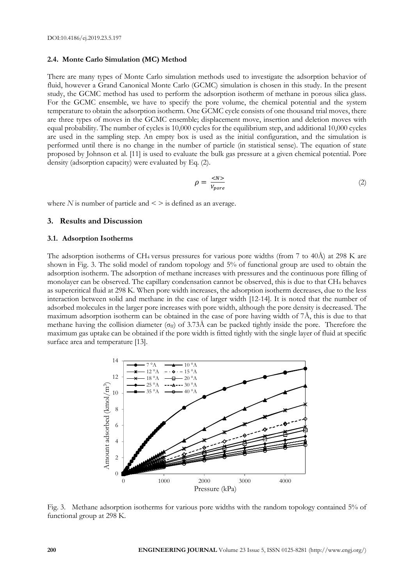## **2.4. Monte Carlo Simulation (MC) Method**

There are many types of Monte Carlo simulation methods used to investigate the adsorption behavior of fluid, however a Grand Canonical Monte Carlo (GCMC) simulation is chosen in this study. In the present study, the GCMC method has used to perform the adsorption isotherm of methane in porous silica glass. For the GCMC ensemble, we have to specify the pore volume, the chemical potential and the system temperature to obtain the adsorption isotherm. One GCMC cycle consists of one thousand trial moves, there are three types of moves in the GCMC ensemble; displacement move, insertion and deletion moves with equal probability. The number of cycles is 10,000 cycles for the equilibrium step, and additional 10,000 cycles are used in the sampling step. An empty box is used as the initial configuration, and the simulation is performed until there is no change in the number of particle (in statistical sense). The equation of state proposed by Johnson et al. [11] is used to evaluate the bulk gas pressure at a given chemical potential. Pore density (adsorption capacity) were evaluated by Eq. (2).

$$
\rho = \frac{\langle N \rangle}{V_{pore}} \tag{2}
$$

where  $N$  is number of particle and  $\leq$  > is defined as an average.

## **3. Results and Discussion**

## **3.1. Adsorption Isotherms**

The adsorption isotherms of CH<sub>4</sub> versus pressures for various pore widths (from 7 to 40Å) at 298 K are shown in Fig. 3. The solid model of random topology and 5% of functional group are used to obtain the adsorption isotherm. The adsorption of methane increases with pressures and the continuous pore filling of monolayer can be observed. The capillary condensation cannot be observed, this is due to that CH<sup>4</sup> behaves as supercritical fluid at 298 K. When pore width increases, the adsorption isotherm decreases, due to the less interaction between solid and methane in the case of larger width [12-14]. It is noted that the number of adsorbed molecules in the larger pore increases with pore width, although the pore density is decreased. The maximum adsorption isotherm can be obtained in the case of pore having width of  $7\text{\AA}$ , this is due to that methane having the collision diameter ( $\sigma_{ff}$ ) of 3.73Å can be packed tightly inside the pore. Therefore the maximum gas uptake can be obtained if the pore width is fitted tightly with the single layer of fluid at specific surface area and temperature [13].



Fig. 3. Methane adsorption isotherms for various pore widths with the random topology contained 5% of functional group at 298 K.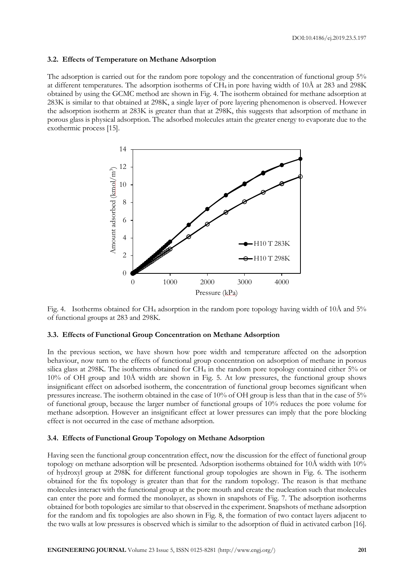#### **3.2. Effects of Temperature on Methane Adsorption**

The adsorption is carried out for the random pore topology and the concentration of functional group 5% at different temperatures. The adsorption isotherms of  $CH_4$  in pore having width of 10Å at 283 and 298K obtained by using the GCMC method are shown in Fig. 4. The isotherm obtained for methane adsorption at 283K is similar to that obtained at 298K, a single layer of pore layering phenomenon is observed. However the adsorption isotherm at 283K is greater than that at 298K, this suggests that adsorption of methane in porous glass is physical adsorption. The adsorbed molecules attain the greater energy to evaporate due to the exothermic process [15].



Fig. 4. Isotherms obtained for CH<sup>4</sup> adsorption in the random pore topology having width of 10Å and 5% of functional groups at 283 and 298K.

#### **3.3. Effects of Functional Group Concentration on Methane Adsorption**

In the previous section, we have shown how pore width and temperature affected on the adsorption behaviour, now turn to the effects of functional group concentration on adsorption of methane in porous silica glass at 298K. The isotherms obtained for CH<sup>4</sup> in the random pore topology contained either 5% or 10% of OH group and 10Å width are shown in Fig. 5. At low pressures, the functional group shows insignificant effect on adsorbed isotherm, the concentration of functional group becomes significant when pressures increase. The isotherm obtained in the case of 10% of OH group is less than that in the case of 5% of functional group, because the larger number of functional groups of 10% reduces the pore volume for methane adsorption. However an insignificant effect at lower pressures can imply that the pore blocking effect is not occurred in the case of methane adsorption.

## **3.4. Effects of Functional Group Topology on Methane Adsorption**

Having seen the functional group concentration effect, now the discussion for the effect of functional group topology on methane adsorption will be presented. Adsorption isotherms obtained for 10Å width with 10% of hydroxyl group at 298K for different functional group topologies are shown in Fig. 6. The isotherm obtained for the fix topology is greater than that for the random topology. The reason is that methane molecules interact with the functional group at the pore mouth and create the nucleation such that molecules can enter the pore and formed the monolayer, as shown in snapshots of Fig. 7. The adsorption isotherms obtained for both topologies are similar to that observed in the experiment. Snapshots of methane adsorption for the random and fix topologies are also shown in Fig. 8, the formation of two contact layers adjacent to the two walls at low pressures is observed which is similar to the adsorption of fluid in activated carbon [16].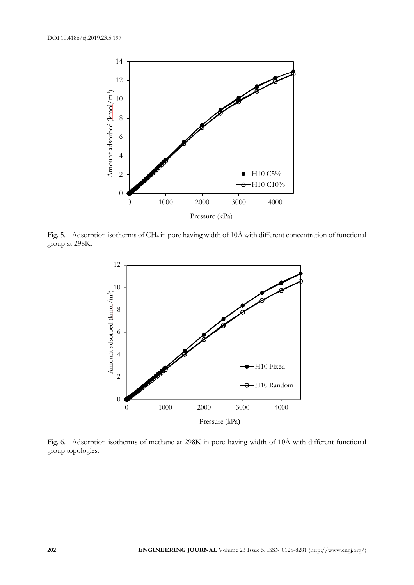

Fig. 5. Adsorption isotherms of CH<sup>4</sup> in pore having width of 10Å with different concentration of functional group at 298K.



Fig. 6. Adsorption isotherms of methane at 298K in pore having width of 10Å with different functional group topologies.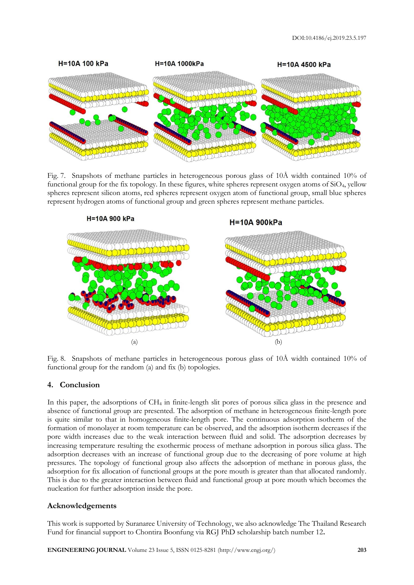

Fig. 7. Snapshots of methane particles in heterogeneous porous glass of 10Å width contained 10% of functional group for the fix topology. In these figures, white spheres represent oxygen atoms of SiO4, yellow spheres represent silicon atoms, red spheres represent oxygen atom of functional group, small blue spheres represent hydrogen atoms of functional group and green spheres represent methane particles.



Fig. 8. Snapshots of methane particles in heterogeneous porous glass of 10Å width contained 10% of functional group for the random (a) and fix (b) topologies.

## **4. Conclusion**

In this paper, the adsorptions of CH<sup>4</sup> in finite-length slit pores of porous silica glass in the presence and absence of functional group are presented. The adsorption of methane in heterogeneous finite-length pore is quite similar to that in homogeneous finite-length pore. The continuous adsorption isotherm of the formation of monolayer at room temperature can be observed, and the adsorption isotherm decreases if the pore width increases due to the weak interaction between fluid and solid. The adsorption decreases by increasing temperature resulting the exothermic process of methane adsorption in porous silica glass. The adsorption decreases with an increase of functional group due to the decreasing of pore volume at high pressures. The topology of functional group also affects the adsorption of methane in porous glass, the adsorption for fix allocation of functional groups at the pore mouth is greater than that allocated randomly. This is due to the greater interaction between fluid and functional group at pore mouth which becomes the nucleation for further adsorption inside the pore.

## **Acknowledgements**

This work is supported by Suranaree University of Technology, we also acknowledge The Thailand Research Fund for financial support to Chontira Boonfung via RGJ PhD scholarship batch number 12**.**